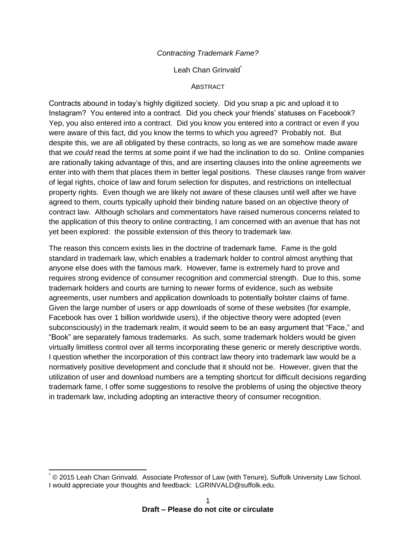### *Contracting Trademark Fame?*

#### Leah Chan Grinvald<sup>\*</sup>

#### **ABSTRACT**

Contracts abound in today's highly digitized society. Did you snap a pic and upload it to Instagram? You entered into a contract. Did you check your friends' statuses on Facebook? Yep, you also entered into a contract. Did you know you entered into a contract or even if you were aware of this fact, did you know the terms to which you agreed? Probably not. But despite this, we are all obligated by these contracts, so long as we are somehow made aware that we *could* read the terms at some point if we had the inclination to do so. Online companies are rationally taking advantage of this, and are inserting clauses into the online agreements we enter into with them that places them in better legal positions. These clauses range from waiver of legal rights, choice of law and forum selection for disputes, and restrictions on intellectual property rights. Even though we are likely not aware of these clauses until well after we have agreed to them, courts typically uphold their binding nature based on an objective theory of contract law. Although scholars and commentators have raised numerous concerns related to the application of this theory to online contracting, I am concerned with an avenue that has not yet been explored: the possible extension of this theory to trademark law.

The reason this concern exists lies in the doctrine of trademark fame. Fame is the gold standard in trademark law, which enables a trademark holder to control almost anything that anyone else does with the famous mark. However, fame is extremely hard to prove and requires strong evidence of consumer recognition and commercial strength. Due to this, some trademark holders and courts are turning to newer forms of evidence, such as website agreements, user numbers and application downloads to potentially bolster claims of fame. Given the large number of users or app downloads of some of these websites (for example, Facebook has over 1 billion worldwide users), if the objective theory were adopted (even subconsciously) in the trademark realm, it would seem to be an easy argument that "Face," and "Book" are separately famous trademarks. As such, some trademark holders would be given virtually limitless control over all terms incorporating these generic or merely descriptive words. I question whether the incorporation of this contract law theory into trademark law would be a normatively positive development and conclude that it should not be. However, given that the utilization of user and download numbers are a tempting shortcut for difficult decisions regarding trademark fame, I offer some suggestions to resolve the problems of using the objective theory in trademark law, including adopting an interactive theory of consumer recognition.

 $\overline{a}$ 

 $@$  2015 Leah Chan Grinvald. Associate Professor of Law (with Tenure), Suffolk University Law School. I would appreciate your thoughts and feedback: LGRINVALD@suffolk.edu.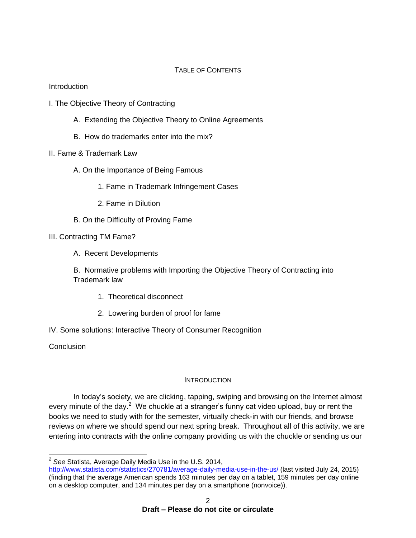## TABLE OF CONTENTS

Introduction

- I. The Objective Theory of Contracting
	- A. Extending the Objective Theory to Online Agreements
	- B. How do trademarks enter into the mix?
- II. Fame & Trademark Law
	- A. On the Importance of Being Famous
		- 1. Fame in Trademark Infringement Cases
		- 2. Fame in Dilution
	- B. On the Difficulty of Proving Fame

# III. Contracting TM Fame?

A. Recent Developments

B. Normative problems with Importing the Objective Theory of Contracting into Trademark law

- 1. Theoretical disconnect
- 2. Lowering burden of proof for fame
- IV. Some solutions: Interactive Theory of Consumer Recognition

**Conclusion** 

 $\overline{\phantom{a}}$ 

## **INTRODUCTION**

In today's society, we are clicking, tapping, swiping and browsing on the Internet almost every minute of the day.<sup>2</sup> We chuckle at a stranger's funny cat video upload, buy or rent the books we need to study with for the semester, virtually check-in with our friends, and browse reviews on where we should spend our next spring break. Throughout all of this activity, we are entering into contracts with the online company providing us with the chuckle or sending us our

<sup>2</sup> *See* Statista, Average Daily Media Use in the U.S. 2014,

<http://www.statista.com/statistics/270781/average-daily-media-use-in-the-us/> (last visited July 24, 2015) (finding that the average American spends 163 minutes per day on a tablet, 159 minutes per day online on a desktop computer, and 134 minutes per day on a smartphone (nonvoice)).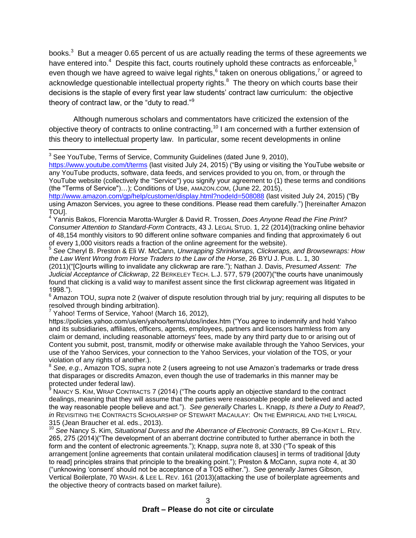books.<sup>3</sup> But a meager 0.65 percent of us are actually reading the terms of these agreements we have entered into.<sup>4</sup> Despite this fact, courts routinely uphold these contracts as enforceable,<sup>5</sup> even though we have agreed to waive legal rights,  $^6$  taken on onerous obligations,  $^7$  or agreed to acknowledge questionable intellectual property rights.<sup>8</sup> The theory on which courts base their decisions is the staple of every first year law students' contract law curriculum: the objective theory of contract law, or the "duty to read."<sup>9</sup>

Although numerous scholars and commentators have criticized the extension of the objective theory of contracts to online contracting,<sup>10</sup> I am concerned with a further extension of this theory to intellectual property law. In particular, some recent developments in online

<https://www.youtube.com/t/terms> (last visited July 24, 2015) ("By using or visiting the YouTube website or any YouTube products, software, data feeds, and services provided to you on, from, or through the YouTube website (collectively the "Service") you signify your agreement to (1) these terms and conditions (the "Terms of Service")…); Conditions of Use, AMAZON.COM, (June 22, 2015),

<sup>4</sup> Yannis Bakos, Florencia Marotta-Wurgler & David R. Trossen, *Does Anyone Read the Fine Print? Consumer Attention to Standard-Form Contracts*, 43 J. LEGAL STUD. 1, 22 (2014)(tracking online behavior of 48,154 monthly visitors to 90 different online software companies and finding that approximately 6 out of every 1,000 visitors reads a fraction of the online agreement for the website).

<sup>5</sup> *See* Cheryl B. Preston & Eli W. McCann, *Unwrapping Shrinkwraps, Clickwraps, and Browsewraps: How the Law Went Wrong from Horse Traders to the Law of the Horse*, 26 BYU J. PUB. L. 1, 30

(2011)("[C]ourts willing to invalidate any clickwrap are rare."); Nathan J. Davis, *Presumed Assent: The Judicial Acceptance of Clickwrap*, 22 BERKELEY TECH. L.J. 577, 579 (2007)("the courts have unanimously found that clicking is a valid way to manifest assent since the first clickwrap agreement was litigated in 1998.").

<sup>6</sup> Amazon TOU, *supra* note 2 (waiver of dispute resolution through trial by jury; requiring all disputes to be resolved through binding arbitration).

 $7$  Yahoo! Terms of Service, Yahoo! (March 16, 2012),

https://policies.yahoo.com/us/en/yahoo/terms/utos/index.htm ("You agree to indemnify and hold Yahoo and its subsidiaries, affiliates, officers, agents, employees, partners and licensors harmless from any claim or demand, including reasonable attorneys' fees, made by any third party due to or arising out of Content you submit, post, transmit, modify or otherwise make available through the Yahoo Services, your use of the Yahoo Services, your connection to the Yahoo Services, your violation of the TOS, or your violation of any rights of another.).

<sup>8</sup> *See, e.g*., Amazon TOS, *supra* note 2 (users agreeing to not use Amazon's trademarks or trade dress that disparages or discredits Amazon, even though the use of trademarks in this manner may be protected under federal law).

NANCY S. KIM, WRAP CONTRACTS 7 (2014) ("The courts apply an objective standard to the contract dealings, meaning that they will assume that the parties were reasonable people and believed and acted the way reasonable people believe and act."). *See generally* Charles L. Knapp, *Is there a Duty to Read?*, *in* REVISITING THE CONTRACTS SCHOLARSHIP OF STEWART MACAULAY: ON THE EMPIRICAL AND THE LYRICAL 315 (Jean Braucher et al. eds., 2013).

<sup>10</sup> See Nancy S. Kim, *Situational Duress and the Aberrance of Electronic Contracts*, 89 CHI-KENT L. REV. 265, 275 (2014)("The development of an aberrant doctrine contributed to further aberrance in both the form and the content of electronic agreements."); Knapp, *supra* note 8, at 330 ("To speak of this arrangement [online agreements that contain unilateral modification clauses] in terms of traditional [duty to read] principles strains that principle to the breaking point."); Preston & McCann, *supra* note 4, at 30 ("unknowing 'consent' should not be acceptance of a TOS either."). *See generally* James Gibson, Vertical Boilerplate, 70 WASH. & LEE L. REV. 161 (2013)(attacking the use of boilerplate agreements and the objective theory of contracts based on market failure).

 $\overline{\phantom{a}}$ <sup>3</sup> See YouTube, Terms of Service, Community Guidelines (dated June 9, 2010),

<http://www.amazon.com/gp/help/customer/display.html?nodeId=508088> (last visited July 24, 2015) ("By using Amazon Services, you agree to these conditions. Please read them carefully.") [hereinafter Amazon TOU].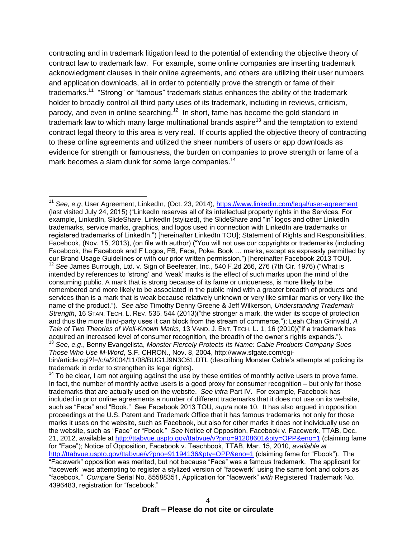contracting and in trademark litigation lead to the potential of extending the objective theory of contract law to trademark law. For example, some online companies are inserting trademark acknowledgment clauses in their online agreements, and others are utilizing their user numbers and application downloads, all in order to potentially prove the strength or fame of their trademarks.<sup>11</sup> "Strong" or "famous" trademark status enhances the ability of the trademark holder to broadly control all third party uses of its trademark, including in reviews, criticism, parody, and even in online searching.<sup>12</sup> In short, fame has become the gold standard in trademark law to which many large multinational brands aspire<sup>13</sup> and the temptation to extend contract legal theory to this area is very real. If courts applied the objective theory of contracting to these online agreements and utilized the sheer numbers of users or app downloads as evidence for strength or famousness, the burden on companies to prove strength or fame of a mark becomes a slam dunk for some large companies.<sup>14</sup>

<sup>11</sup> See, e.g, User Agreement, LinkedIn, (Oct. 23, 2014),<https://www.linkedin.com/legal/user-agreement> (last visited July 24, 2015) ("LinkedIn reserves all of its intellectual property rights in the Services. For example, LinkedIn, SlideShare, LinkedIn (stylized), the SlideShare and "in" logos and other LinkedIn trademarks, service marks, graphics, and logos used in connection with LinkedIn are trademarks or registered trademarks of LinkedIn.") [hereinafter LinkedIn TOU]; Statement of Rights and Responsibilities, Facebook, (Nov. 15, 2013), (on file with author) ("You will not use our copyrights or trademarks (including Facebook, the Facebook and F Logos, FB, Face, Poke, Book … marks, except as expressly permitted by our Brand Usage Guidelines or with our prior written permission.") [hereinafter Facebook 2013 TOU]. <sup>12</sup> *See* James Burrough, Ltd. v. Sign of Beefeater, Inc., 540 F.2d 266, 276 (7th Cir. 1976) ("What is intended by references to 'strong' and 'weak' marks is the effect of such marks upon the mind of the consuming public. A mark that is strong because of its fame or uniqueness, is more likely to be remembered and more likely to be associated in the public mind with a greater breadth of products and services than is a mark that is weak because relatively unknown or very like similar marks or very like the name of the product."). *See also* Timothy Denny Greene & Jeff Wilkerson, *Understanding Trademark Strength*, 16 STAN. TECH. L. REV. 535, 544 (2013)("the stronger a mark, the wider its scope of protection and thus the more third-party uses it can block from the stream of commerce."); Leah Chan Grinvald, *A Tale of Two Theories of Well-Known Marks*, 13 VAND. J. ENT. TECH. L. 1, 16 (2010)("if a trademark has acquired an increased level of consumer recognition, the breadth of the owner's rights expands.").

 $\overline{\phantom{a}}$ 

<sup>13</sup> *See, e.g*., Benny Evangelista, *Monster Fiercely Protects Its Name: Cable Products Company Sues Those Who Use M-Word*, S.F. CHRON., Nov. 8, 2004, http://www.sfgate.com/cgibin/article.cgi?f=/c/a/2004/11/08/BUG1J9N3C61.DTL (describing Monster Cable's attempts at policing its trademark in order to strengthen its legal rights).

 $14$  To be clear, I am not arguing against the use by these entities of monthly active users to prove fame. In fact, the number of monthly active users is a good proxy for consumer recognition – but only for those trademarks that are actually used on the website. *See infra* Part IV. For example, Facebook has included in prior online agreements a number of different trademarks that it does not use on its website, such as "Face" and "Book." See Facebook 2013 TOU, *supra* note 10. It has also argued in opposition proceedings at the U.S. Patent and Trademark Office that it has famous trademarks not only for those marks it uses on the website, such as Facebook, but also for other marks it does not individually use on the website, such as "Face" or "Fbook." *See* Notice of Opposition, Facebook v. Facewerk, TTAB, Dec. 21, 2012, available at<http://ttabvue.uspto.gov/ttabvue/v?pno=91208601&pty=OPP&eno=1> (claiming fame for "Face"); Notice of Opposition, Facebook v. Teachbook, TTAB, Mar. 15, 2010, *available at* <http://ttabvue.uspto.gov/ttabvue/v?pno=91194136&pty=OPP&eno=1> (claiming fame for "Fbook"). The "Facewerk" opposition was merited, but not because "Face" was a famous trademark. The applicant for "facewerk" was attempting to register a stylized version of "facewerk" using the same font and colors as "facebook." *Compare* Serial No. 85588351, Application for "facewerk" *with* Registered Trademark No. 4396483, registration for "facebook."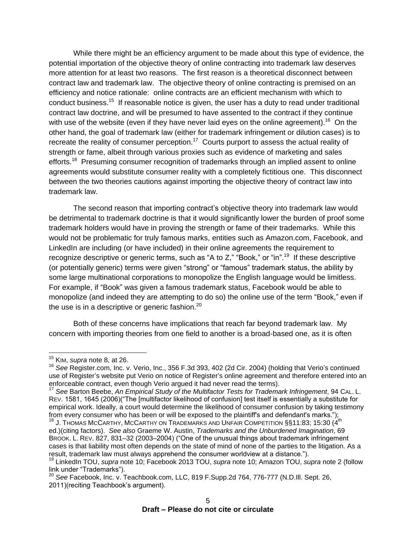While there might be an efficiency argument to be made about this type of evidence, the potential importation of the objective theory of online contracting into trademark law deserves more attention for at least two reasons. The first reason is a theoretical disconnect between contract law and trademark law. The objective theory of online contracting is premised on an efficiency and notice rationale: online contracts are an efficient mechanism with which to conduct business.<sup>15</sup> If reasonable notice is given, the user has a duty to read under traditional contract law doctrine, and will be presumed to have assented to the contract if they continue with use of the website (even if they have never laid eyes on the online agreement).<sup>16</sup> On the other hand, the goal of trademark law (either for trademark infringement or dilution cases) is to recreate the reality of consumer perception.<sup>17</sup> Courts purport to assess the actual reality of strength or fame, albeit through various proxies such as evidence of marketing and sales efforts.<sup>18</sup> Presuming consumer recognition of trademarks through an implied assent to online agreements would substitute consumer reality with a completely fictitious one. This disconnect between the two theories cautions against importing the objective theory of contract law into trademark law.

The second reason that importing contract's objective theory into trademark law would be detrimental to trademark doctrine is that it would significantly lower the burden of proof some trademark holders would have in proving the strength or fame of their trademarks. While this would not be problematic for truly famous marks, entities such as Amazon.com, Facebook, and LinkedIn are including (or have included) in their online agreements the requirement to recognize descriptive or generic terms, such as "A to Z," "Book," or "in".<sup>19</sup> If these descriptive (or potentially generic) terms were given "strong" or "famous" trademark status, the ability by some large multinational corporations to monopolize the English language would be limitless. For example, if "Book" was given a famous trademark status, Facebook would be able to monopolize (and indeed they are attempting to do so) the online use of the term "Book," even if the use is in a descriptive or generic fashion. $^{20}$ 

Both of these concerns have implications that reach far beyond trademark law. My concern with importing theories from one field to another is a broad-based one, as it is often

 $\overline{a}$ 

<sup>15</sup> KIM, *supra* note 8, at 26.

<sup>16</sup> *See* Register.com, Inc. v. Verio, Inc., 356 F.3d 393, 402 (2d Cir. 2004) (holding that Verio's continued use of Register's website put Verio on notice of Register's online agreement and therefore entered into an enforceable contract, even though Verio argued it had never read the terms).

<sup>17</sup> *See* Barton Beebe, *An Empirical Study of the Multifactor Tests for Trademark Infringement*, 94 CAL. L. REV. 1581, 1645 (2006)("The [multifactor likelihood of confusion] test itself is essentially a substitute for empirical work. Ideally, a court would determine the likelihood of consumer confusion by taking testimony from every consumer who has been or will be exposed to the plaintiff's and defendant's marks.");

 $^{18}$  J. Thomas McCarthy, McCarthy on Trademarks and Unfair Competition §§11:83; 15:30  $(4^{\text{th}}$ ed.)(citing factors). *See also* Graeme W. Austin, *Trademarks and the Unburdened Imagination*, 69 BROOK. L. REV. 827, 831–32 (2003–2004) ("One of the unusual things about trademark infringement cases is that liability most often depends on the state of mind of none of the parties to the litigation. As a result, trademark law must always apprehend the consumer worldview at a distance.").

<sup>19</sup> LinkedIn TOU, *supra* note 10; Facebook 2013 TOU, *supra* note 10; Amazon TOU, *supra* note 2 (follow link under "Trademarks").

<sup>20</sup> *See* Facebook, Inc. v. Teachbook.com, LLC, 819 F.Supp.2d 764, 776-777 (N.D.Ill. Sept. 26, 2011)(reciting Teachbook's argument).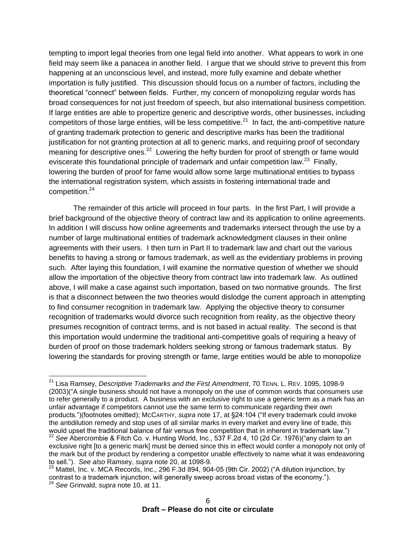tempting to import legal theories from one legal field into another. What appears to work in one field may seem like a panacea in another field. I argue that we should strive to prevent this from happening at an unconscious level, and instead, more fully examine and debate whether importation is fully justified. This discussion should focus on a number of factors, including the theoretical "connect" between fields. Further, my concern of monopolizing regular words has broad consequences for not just freedom of speech, but also international business competition. If large entities are able to propertize generic and descriptive words, other businesses, including competitors of those large entities, will be less competitive.<sup>21</sup> In fact, the anti-competitive nature of granting trademark protection to generic and descriptive marks has been the traditional justification for not granting protection at all to generic marks, and requiring proof of secondary meaning for descriptive ones.<sup>22</sup> Lowering the hefty burden for proof of strength or fame would eviscerate this foundational principle of trademark and unfair competition law.<sup>23</sup> Finally, lowering the burden of proof for fame would allow some large multinational entities to bypass the international registration system, which assists in fostering international trade and competition.<sup>24</sup>

The remainder of this article will proceed in four parts. In the first Part, I will provide a brief background of the objective theory of contract law and its application to online agreements. In addition I will discuss how online agreements and trademarks intersect through the use by a number of large multinational entities of trademark acknowledgment clauses in their online agreements with their users. I then turn in Part II to trademark law and chart out the various benefits to having a strong or famous trademark, as well as the evidentiary problems in proving such. After laying this foundation, I will examine the normative question of whether we should allow the importation of the objective theory from contract law into trademark law. As outlined above, I will make a case against such importation, based on two normative grounds. The first is that a disconnect between the two theories would dislodge the current approach in attempting to find consumer recognition in trademark law. Applying the objective theory to consumer recognition of trademarks would divorce such recognition from reality, as the objective theory presumes recognition of contract terms, and is not based in actual reality. The second is that this importation would undermine the traditional anti-competitive goals of requiring a heavy of burden of proof on those trademark holders seeking strong or famous trademark status. By lowering the standards for proving strength or fame, large entities would be able to monopolize

 $\overline{a}$ 

<sup>21</sup> Lisa Ramsey, *Descriptive Trademarks and the First Amendment*, 70 TENN. L. REV. 1095, 1098-9 (2003)("A single business should not have a monopoly on the use of common words that consumers use to refer generally to a product. A business with an exclusive right to use a generic term as a mark has an unfair advantage if competitors cannot use the same term to communicate regarding their own products.")(footnotes omitted); MCCARTHY, *supra* note 17, at §24:104 ("If every trademark could invoke the antidilution remedy and stop uses of all similar marks in every market and every line of trade, this would upset the traditional balance of fair versus free competition that in inherent in trademark law.")

<sup>22</sup> *See* Abercrombie & Fitch Co. v. Hunting World, Inc., 537 F.2d 4, 10 (2d Cir. 1976)("any claim to an exclusive right [to a generic mark] must be denied since this in effect would confer a monopoly not only of the mark but of the product by rendering a competitor unable effectively to name what it was endeavoring to sell."). *See also* Ramsey, *supra* note 20, at 1098-9.

 $^{23}$  Mattel, Inc. v. MCA Records, Inc., 296 F.3d 894, 904-05 (9th Cir. 2002) ("A dilution injunction, by contrast to a trademark injunction, will generally sweep across broad vistas of the economy."). <sup>24</sup> *See* Grinvald, *supra* note 10, at 11.